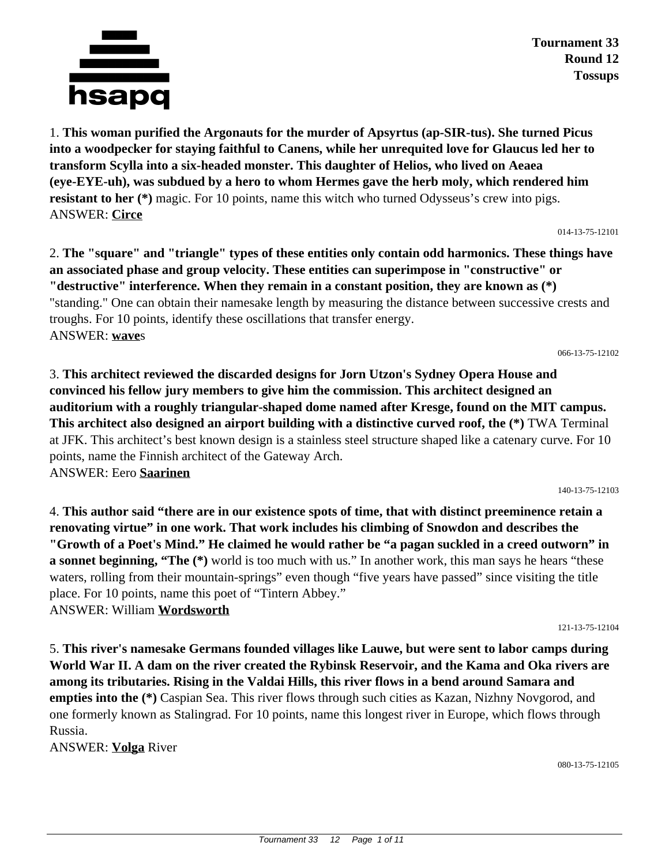

**Tournament 33 Round 12 Tossups**

1. **This woman purified the Argonauts for the murder of Apsyrtus (ap-SIR-tus). She turned Picus into a woodpecker for staying faithful to Canens, while her unrequited love for Glaucus led her to transform Scylla into a six-headed monster. This daughter of Helios, who lived on Aeaea (eye-EYE-uh), was subdued by a hero to whom Hermes gave the herb moly, which rendered him resistant to her (\*)** magic. For 10 points, name this witch who turned Odysseus's crew into pigs. ANSWER: **Circe**

014-13-75-12101

2. **The "square" and "triangle" types of these entities only contain odd harmonics. These things have an associated phase and group velocity. These entities can superimpose in "constructive" or "destructive" interference. When they remain in a constant position, they are known as (\*)** "standing." One can obtain their namesake length by measuring the distance between successive crests and troughs. For 10 points, identify these oscillations that transfer energy. ANSWER: **wave**s

066-13-75-12102

3. **This architect reviewed the discarded designs for Jorn Utzon's Sydney Opera House and convinced his fellow jury members to give him the commission. This architect designed an auditorium with a roughly triangular-shaped dome named after Kresge, found on the MIT campus. This architect also designed an airport building with a distinctive curved roof, the (\*)** TWA Terminal at JFK. This architect's best known design is a stainless steel structure shaped like a catenary curve. For 10 points, name the Finnish architect of the Gateway Arch. ANSWER: Eero **Saarinen**

140-13-75-12103

4. **This author said "there are in our existence spots of time, that with distinct preeminence retain a renovating virtue" in one work. That work includes his climbing of Snowdon and describes the "Growth of a Poet's Mind." He claimed he would rather be "a pagan suckled in a creed outworn" in a sonnet beginning, "The (\*)** world is too much with us." In another work, this man says he hears "these waters, rolling from their mountain-springs" even though "five years have passed" since visiting the title place. For 10 points, name this poet of "Tintern Abbey." ANSWER: William **Wordsworth**

121-13-75-12104

5. **This river's namesake Germans founded villages like Lauwe, but were sent to labor camps during World War II. A dam on the river created the Rybinsk Reservoir, and the Kama and Oka rivers are among its tributaries. Rising in the Valdai Hills, this river flows in a bend around Samara and empties into the (\*)** Caspian Sea. This river flows through such cities as Kazan, Nizhny Novgorod, and one formerly known as Stalingrad. For 10 points, name this longest river in Europe, which flows through Russia.

ANSWER: **Volga** River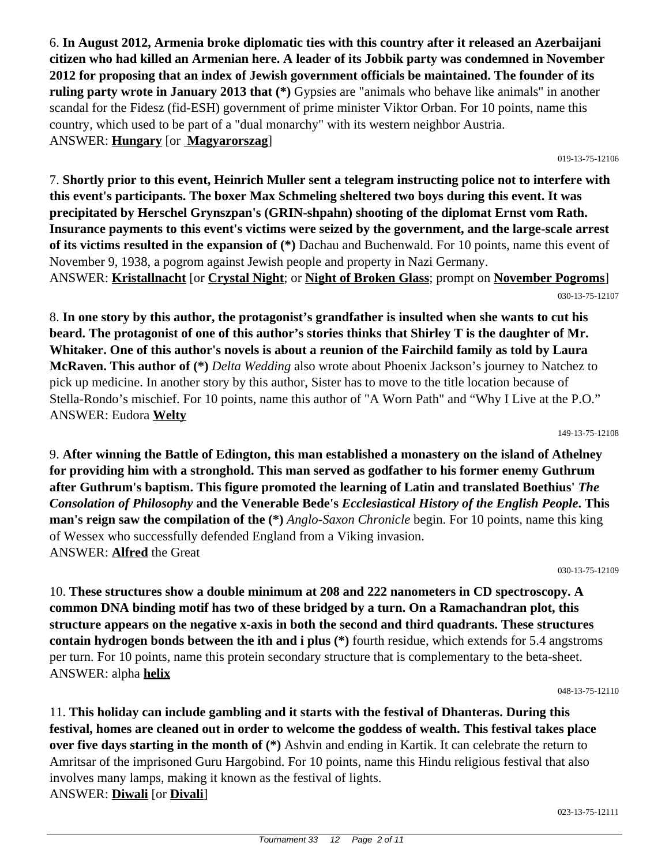6. **In August 2012, Armenia broke diplomatic ties with this country after it released an Azerbaijani citizen who had killed an Armenian here. A leader of its Jobbik party was condemned in November 2012 for proposing that an index of Jewish government officials be maintained. The founder of its ruling party wrote in January 2013 that (\*)** Gypsies are "animals who behave like animals" in another scandal for the Fidesz (fid-ESH) government of prime minister Viktor Orban. For 10 points, name this country, which used to be part of a "dual monarchy" with its western neighbor Austria. ANSWER: **Hungary** [or **Magyarorszag**]

019-13-75-12106

7. **Shortly prior to this event, Heinrich Muller sent a telegram instructing police not to interfere with this event's participants. The boxer Max Schmeling sheltered two boys during this event. It was precipitated by Herschel Grynszpan's (GRIN-shpahn) shooting of the diplomat Ernst vom Rath. Insurance payments to this event's victims were seized by the government, and the large-scale arrest of its victims resulted in the expansion of (\*)** Dachau and Buchenwald. For 10 points, name this event of November 9, 1938, a pogrom against Jewish people and property in Nazi Germany. ANSWER: **Kristallnacht** [or **Crystal Night**; or **Night of Broken Glass**; prompt on **November Pogroms**] 030-13-75-12107

8. **In one story by this author, the protagonist's grandfather is insulted when she wants to cut his beard. The protagonist of one of this author's stories thinks that Shirley T is the daughter of Mr. Whitaker. One of this author's novels is about a reunion of the Fairchild family as told by Laura McRaven. This author of (\*)** *Delta Wedding* also wrote about Phoenix Jackson's journey to Natchez to pick up medicine. In another story by this author, Sister has to move to the title location because of Stella-Rondo's mischief. For 10 points, name this author of "A Worn Path" and "Why I Live at the P.O." ANSWER: Eudora **Welty**

149-13-75-12108

9. **After winning the Battle of Edington, this man established a monastery on the island of Athelney for providing him with a stronghold. This man served as godfather to his former enemy Guthrum after Guthrum's baptism. This figure promoted the learning of Latin and translated Boethius'** *The Consolation of Philosophy* **and the Venerable Bede's** *Ecclesiastical History of the English People***. This man's reign saw the compilation of the (\*)** *Anglo-Saxon Chronicle* begin. For 10 points, name this king of Wessex who successfully defended England from a Viking invasion. ANSWER: **Alfred** the Great

030-13-75-12109

10. **These structures show a double minimum at 208 and 222 nanometers in CD spectroscopy. A common DNA binding motif has two of these bridged by a turn. On a Ramachandran plot, this structure appears on the negative x-axis in both the second and third quadrants. These structures contain hydrogen bonds between the ith and i plus (\*)** fourth residue, which extends for 5.4 angstroms per turn. For 10 points, name this protein secondary structure that is complementary to the beta-sheet. ANSWER: alpha **helix**

048-13-75-12110

11. **This holiday can include gambling and it starts with the festival of Dhanteras. During this festival, homes are cleaned out in order to welcome the goddess of wealth. This festival takes place over five days starting in the month of** (\*) Ashvin and ending in Kartik. It can celebrate the return to Amritsar of the imprisoned Guru Hargobind. For 10 points, name this Hindu religious festival that also involves many lamps, making it known as the festival of lights. ANSWER: **Diwali** [or **Divali**]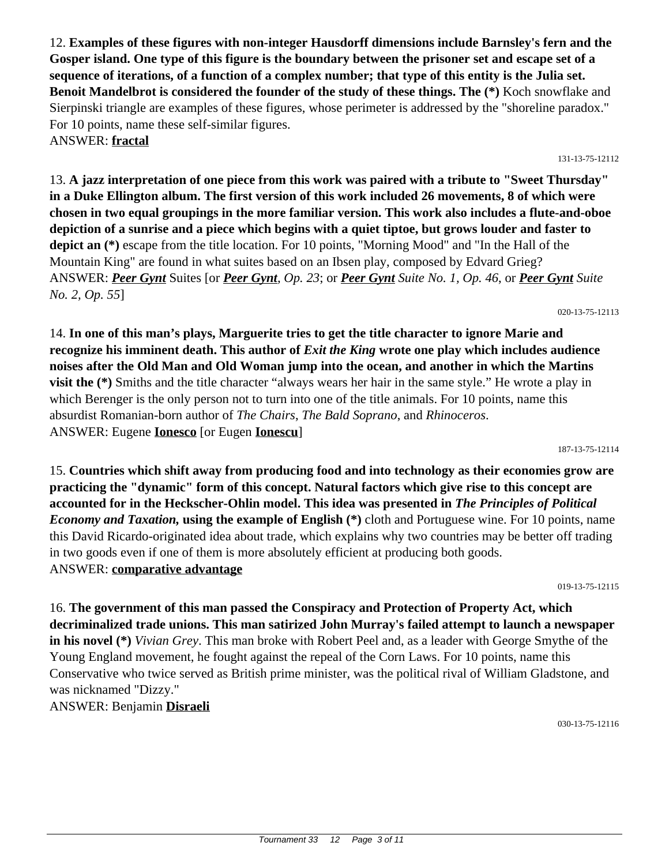12. **Examples of these figures with non-integer Hausdorff dimensions include Barnsley's fern and the Gosper island. One type of this figure is the boundary between the prisoner set and escape set of a sequence of iterations, of a function of a complex number; that type of this entity is the Julia set. Benoit Mandelbrot is considered the founder of the study of these things. The (\*)** Koch snowflake and Sierpinski triangle are examples of these figures, whose perimeter is addressed by the "shoreline paradox." For 10 points, name these self-similar figures. ANSWER: **fractal**

13. **A jazz interpretation of one piece from this work was paired with a tribute to "Sweet Thursday" in a Duke Ellington album. The first version of this work included 26 movements, 8 of which were chosen in two equal groupings in the more familiar version. This work also includes a flute-and-oboe depiction of a sunrise and a piece which begins with a quiet tiptoe, but grows louder and faster to depict an (\*)** escape from the title location. For 10 points, "Morning Mood" and "In the Hall of the Mountain King" are found in what suites based on an Ibsen play, composed by Edvard Grieg? ANSWER: *Peer Gynt* Suites [or *Peer Gynt, Op. 23*; or *Peer Gynt Suite No. 1, Op. 46*, or *Peer Gynt Suite No. 2, Op. 55*]

14. **In one of this man's plays, Marguerite tries to get the title character to ignore Marie and recognize his imminent death. This author of** *Exit the King* **wrote one play which includes audience noises after the Old Man and Old Woman jump into the ocean, and another in which the Martins visit the** (\*) Smiths and the title character "always wears her hair in the same style." He wrote a play in which Berenger is the only person not to turn into one of the title animals. For 10 points, name this absurdist Romanian-born author of *The Chairs*, *The Bald Soprano*, and *Rhinoceros*. ANSWER: Eugene **Ionesco** [or Eugen **Ionescu**]

15. **Countries which shift away from producing food and into technology as their economies grow are practicing the "dynamic" form of this concept. Natural factors which give rise to this concept are accounted for in the Heckscher-Ohlin model. This idea was presented in** *The Principles of Political Economy and Taxation,* **using the example of English (\*)** cloth and Portuguese wine. For 10 points, name this David Ricardo-originated idea about trade, which explains why two countries may be better off trading in two goods even if one of them is more absolutely efficient at producing both goods. ANSWER: **comparative advantage**

16. **The government of this man passed the Conspiracy and Protection of Property Act, which decriminalized trade unions. This man satirized John Murray's failed attempt to launch a newspaper in his novel (\*)** *Vivian Grey*. This man broke with Robert Peel and, as a leader with George Smythe of the Young England movement, he fought against the repeal of the Corn Laws. For 10 points, name this Conservative who twice served as British prime minister, was the political rival of William Gladstone, and

was nicknamed "Dizzy."

ANSWER: Benjamin **Disraeli**

030-13-75-12116

187-13-75-12114

020-13-75-12113

131-13-75-12112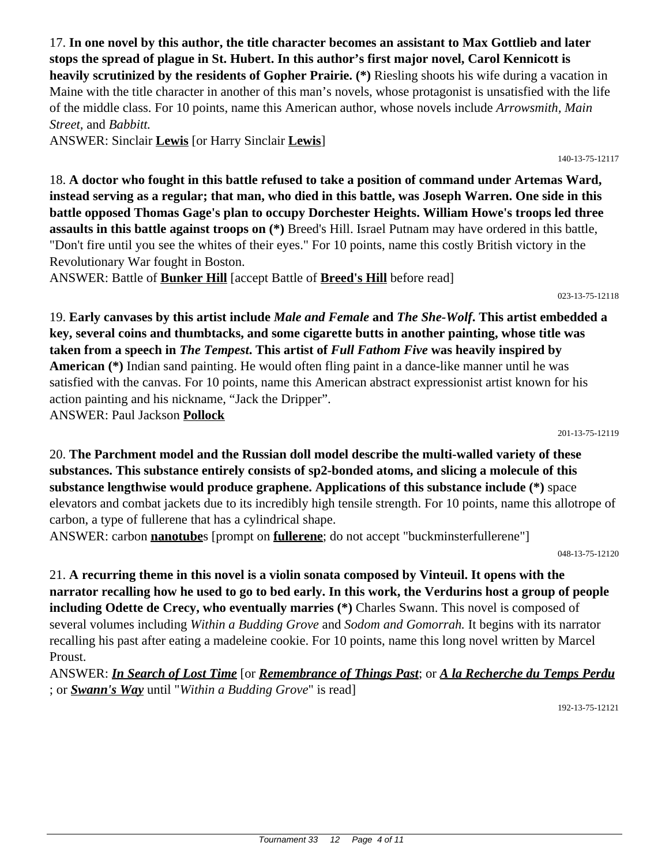17. **In one novel by this author, the title character becomes an assistant to Max Gottlieb and later stops the spread of plague in St. Hubert. In this author's first major novel, Carol Kennicott is heavily scrutinized by the residents of Gopher Prairie. (\*)** Riesling shoots his wife during a vacation in Maine with the title character in another of this man's novels, whose protagonist is unsatisfied with the life of the middle class. For 10 points, name this American author, whose novels include *Arrowsmith, Main Street,* and *Babbitt.*

ANSWER: Sinclair **Lewis** [or Harry Sinclair **Lewis**]

18. **A doctor who fought in this battle refused to take a position of command under Artemas Ward, instead serving as a regular; that man, who died in this battle, was Joseph Warren. One side in this battle opposed Thomas Gage's plan to occupy Dorchester Heights. William Howe's troops led three assaults in this battle against troops on (\*)** Breed's Hill. Israel Putnam may have ordered in this battle, "Don't fire until you see the whites of their eyes." For 10 points, name this costly British victory in the Revolutionary War fought in Boston.

ANSWER: Battle of **Bunker Hill** [accept Battle of **Breed's Hill** before read]

023-13-75-12118

19. **Early canvases by this artist include** *Male and Female* **and** *The She-Wolf***. This artist embedded a key, several coins and thumbtacks, and some cigarette butts in another painting, whose title was taken from a speech in** *The Tempest***. This artist of** *Full Fathom Five* **was heavily inspired by American (\*)** Indian sand painting. He would often fling paint in a dance-like manner until he was satisfied with the canvas. For 10 points, name this American abstract expressionist artist known for his action painting and his nickname, "Jack the Dripper". ANSWER: Paul Jackson **Pollock**

201-13-75-12119

20. **The Parchment model and the Russian doll model describe the multi-walled variety of these substances. This substance entirely consists of sp2-bonded atoms, and slicing a molecule of this substance lengthwise would produce graphene. Applications of this substance include (\*)** space elevators and combat jackets due to its incredibly high tensile strength. For 10 points, name this allotrope of carbon, a type of fullerene that has a cylindrical shape.

ANSWER: carbon **nanotube**s [prompt on **fullerene**; do not accept "buckminsterfullerene"]

048-13-75-12120

21. **A recurring theme in this novel is a violin sonata composed by Vinteuil. It opens with the narrator recalling how he used to go to bed early. In this work, the Verdurins host a group of people including Odette de Crecy, who eventually marries (\*)** Charles Swann. This novel is composed of several volumes including *Within a Budding Grove* and *Sodom and Gomorrah.* It begins with its narrator recalling his past after eating a madeleine cookie. For 10 points, name this long novel written by Marcel Proust.

ANSWER: *In Search of Lost Time* [or *Remembrance of Things Past*; or *A la Recherche du Temps Perdu* ; or *Swann's Way* until "*Within a Budding Grove*" is read]

192-13-75-12121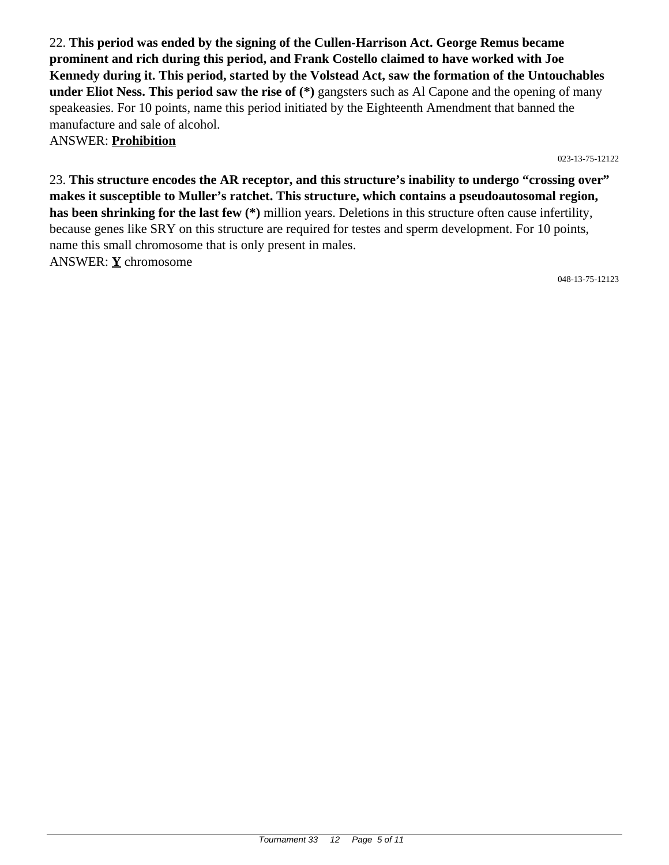22. **This period was ended by the signing of the Cullen-Harrison Act. George Remus became prominent and rich during this period, and Frank Costello claimed to have worked with Joe Kennedy during it. This period, started by the Volstead Act, saw the formation of the Untouchables under Eliot Ness. This period saw the rise of (\*)** gangsters such as Al Capone and the opening of many speakeasies. For 10 points, name this period initiated by the Eighteenth Amendment that banned the manufacture and sale of alcohol.

ANSWER: **Prohibition**

023-13-75-12122

23. **This structure encodes the AR receptor, and this structure's inability to undergo "crossing over" makes it susceptible to Muller's ratchet. This structure, which contains a pseudoautosomal region, has been shrinking for the last few (\*)** million years. Deletions in this structure often cause infertility, because genes like SRY on this structure are required for testes and sperm development. For 10 points, name this small chromosome that is only present in males. ANSWER: **Y** chromosome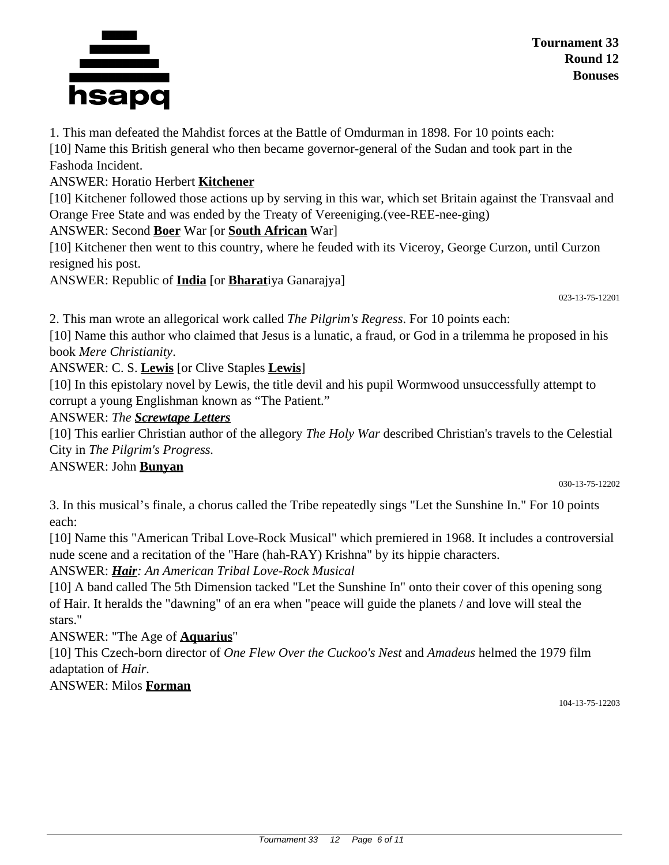**Tournament 33 Round 12 Bonuses**

1. This man defeated the Mahdist forces at the Battle of Omdurman in 1898. For 10 points each: [10] Name this British general who then became governor-general of the Sudan and took part in the

Fashoda Incident.

ANSWER: Horatio Herbert **Kitchener**

[10] Kitchener followed those actions up by serving in this war, which set Britain against the Transvaal and Orange Free State and was ended by the Treaty of Vereeniging.(vee-REE-nee-ging)

ANSWER: Second **Boer** War [or **South African** War]

[10] Kitchener then went to this country, where he feuded with its Viceroy, George Curzon, until Curzon resigned his post.

ANSWER: Republic of **India** [or **Bharat**iya Ganarajya]

023-13-75-12201

2. This man wrote an allegorical work called *The Pilgrim's Regress*. For 10 points each:

[10] Name this author who claimed that Jesus is a lunatic, a fraud, or God in a trilemma he proposed in his book *Mere Christianity*.

ANSWER: C. S. **Lewis** [or Clive Staples **Lewis**]

[10] In this epistolary novel by Lewis, the title devil and his pupil Wormwood unsuccessfully attempt to corrupt a young Englishman known as "The Patient."

ANSWER: *The Screwtape Letters*

[10] This earlier Christian author of the allegory *The Holy War* described Christian's travels to the Celestial City in *The Pilgrim's Progress.*

ANSWER: John **Bunyan**

030-13-75-12202

3. In this musical's finale, a chorus called the Tribe repeatedly sings "Let the Sunshine In." For 10 points each:

[10] Name this "American Tribal Love-Rock Musical" which premiered in 1968. It includes a controversial nude scene and a recitation of the "Hare (hah-RAY) Krishna" by its hippie characters.

ANSWER: *Hair: An American Tribal Love-Rock Musical*

[10] A band called The 5th Dimension tacked "Let the Sunshine In" onto their cover of this opening song of Hair. It heralds the "dawning" of an era when "peace will guide the planets / and love will steal the stars."

ANSWER: "The Age of **Aquarius**"

[10] This Czech-born director of *One Flew Over the Cuckoo's Nest* and *Amadeus* helmed the 1979 film adaptation of *Hair.*

ANSWER: Milos **Forman**

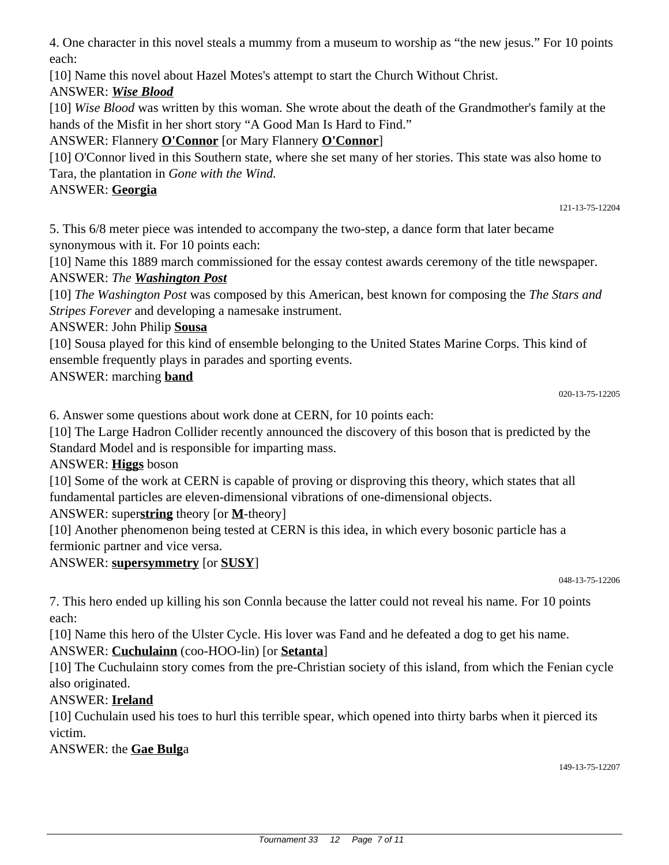4. One character in this novel steals a mummy from a museum to worship as "the new jesus." For 10 points each:

[10] Name this novel about Hazel Motes's attempt to start the Church Without Christ.

# ANSWER: *Wise Blood*

[10] *Wise Blood* was written by this woman. She wrote about the death of the Grandmother's family at the hands of the Misfit in her short story "A Good Man Is Hard to Find."

## ANSWER: Flannery **O'Connor** [or Mary Flannery **O'Connor**]

[10] O'Connor lived in this Southern state, where she set many of her stories. This state was also home to Tara, the plantation in *Gone with the Wind.*

## ANSWER: **Georgia**

121-13-75-12204

5. This 6/8 meter piece was intended to accompany the two-step, a dance form that later became synonymous with it. For 10 points each:

[10] Name this 1889 march commissioned for the essay contest awards ceremony of the title newspaper. ANSWER: *The Washington Post*

[10] *The Washington Post* was composed by this American, best known for composing the *The Stars and Stripes Forever* and developing a namesake instrument.

# ANSWER: John Philip **Sousa**

[10] Sousa played for this kind of ensemble belonging to the United States Marine Corps. This kind of ensemble frequently plays in parades and sporting events.

# ANSWER: marching **band**

6. Answer some questions about work done at CERN, for 10 points each:

[10] The Large Hadron Collider recently announced the discovery of this boson that is predicted by the Standard Model and is responsible for imparting mass.

ANSWER: **Higgs** boson

[10] Some of the work at CERN is capable of proving or disproving this theory, which states that all fundamental particles are eleven-dimensional vibrations of one-dimensional objects.

ANSWER: super**string** theory [or **M**-theory]

[10] Another phenomenon being tested at CERN is this idea, in which every bosonic particle has a fermionic partner and vice versa.

# ANSWER: **supersymmetry** [or **SUSY**]

048-13-75-12206

7. This hero ended up killing his son Connla because the latter could not reveal his name. For 10 points each:

[10] Name this hero of the Ulster Cycle. His lover was Fand and he defeated a dog to get his name. ANSWER: **Cuchulainn** (coo-HOO-lin) [or **Setanta**]

[10] The Cuchulainn story comes from the pre-Christian society of this island, from which the Fenian cycle also originated.

# ANSWER: **Ireland**

[10] Cuchulain used his toes to hurl this terrible spear, which opened into thirty barbs when it pierced its victim.

ANSWER: the **Gae Bulg**a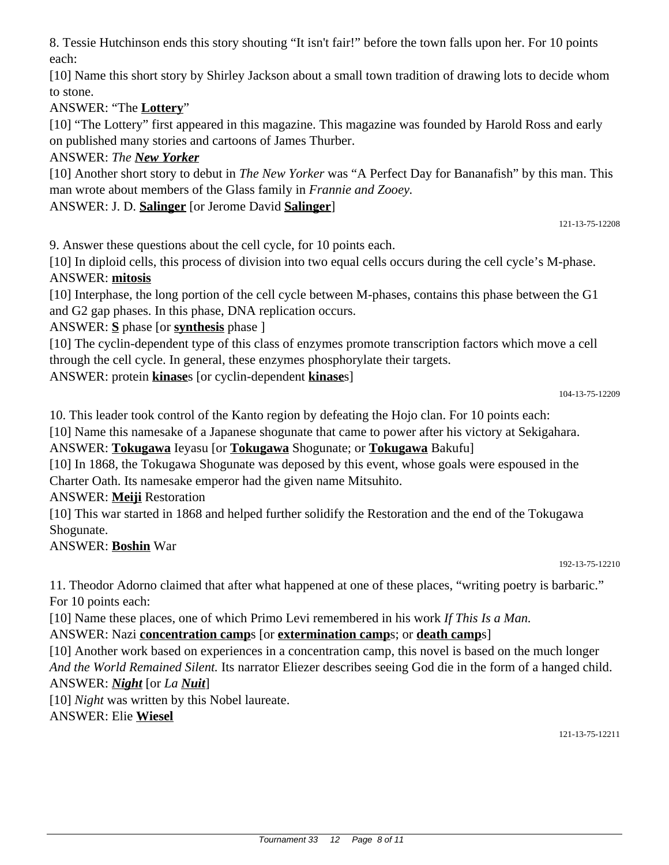8. Tessie Hutchinson ends this story shouting "It isn't fair!" before the town falls upon her. For 10 points each:

[10] Name this short story by Shirley Jackson about a small town tradition of drawing lots to decide whom to stone.

ANSWER: "The **Lottery**"

[10] "The Lottery" first appeared in this magazine. This magazine was founded by Harold Ross and early on published many stories and cartoons of James Thurber.

## ANSWER: *The New Yorker*

[10] Another short story to debut in *The New Yorker* was "A Perfect Day for Bananafish" by this man. This man wrote about members of the Glass family in *Frannie and Zooey.*

ANSWER: J. D. **Salinger** [or Jerome David **Salinger**]

121-13-75-12208

9. Answer these questions about the cell cycle, for 10 points each.

[10] In diploid cells, this process of division into two equal cells occurs during the cell cycle's M-phase. ANSWER: **mitosis**

[10] Interphase, the long portion of the cell cycle between M-phases, contains this phase between the G1 and G2 gap phases. In this phase, DNA replication occurs.

ANSWER: **S** phase [or **synthesis** phase ]

[10] The cyclin-dependent type of this class of enzymes promote transcription factors which move a cell through the cell cycle. In general, these enzymes phosphorylate their targets.

ANSWER: protein **kinase**s [or cyclin-dependent **kinase**s]

10. This leader took control of the Kanto region by defeating the Hojo clan. For 10 points each:

[10] Name this namesake of a Japanese shogunate that came to power after his victory at Sekigahara.

ANSWER: **Tokugawa** Ieyasu [or **Tokugawa** Shogunate; or **Tokugawa** Bakufu]

[10] In 1868, the Tokugawa Shogunate was deposed by this event, whose goals were espoused in the Charter Oath. Its namesake emperor had the given name Mitsuhito.

## ANSWER: **Meiji** Restoration

[10] This war started in 1868 and helped further solidify the Restoration and the end of the Tokugawa Shogunate.

ANSWER: **Boshin** War

192-13-75-12210

11. Theodor Adorno claimed that after what happened at one of these places, "writing poetry is barbaric." For 10 points each:

[10] Name these places, one of which Primo Levi remembered in his work *If This Is a Man.*

ANSWER: Nazi **concentration camp**s [or **extermination camp**s; or **death camp**s]

[10] Another work based on experiences in a concentration camp, this novel is based on the much longer *And the World Remained Silent.* Its narrator Eliezer describes seeing God die in the form of a hanged child. ANSWER: *Night* [or *La Nuit*]

[10] *Night* was written by this Nobel laureate.

ANSWER: Elie **Wiesel**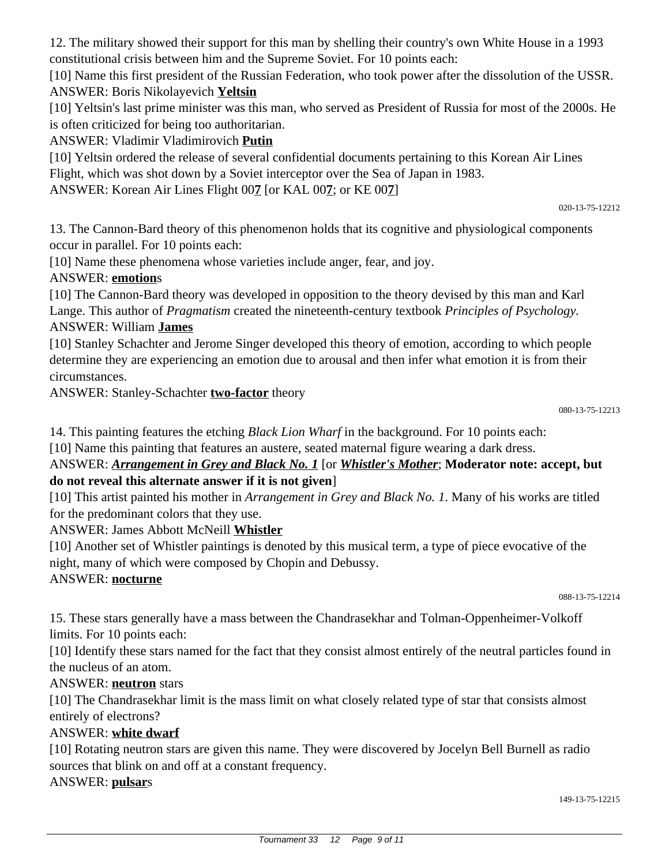12. The military showed their support for this man by shelling their country's own White House in a 1993 constitutional crisis between him and the Supreme Soviet. For 10 points each:

[10] Name this first president of the Russian Federation, who took power after the dissolution of the USSR. ANSWER: Boris Nikolayevich **Yeltsin**

[10] Yeltsin's last prime minister was this man, who served as President of Russia for most of the 2000s. He is often criticized for being too authoritarian.

ANSWER: Vladimir Vladimirovich **Putin**

[10] Yeltsin ordered the release of several confidential documents pertaining to this Korean Air Lines Flight, which was shot down by a Soviet interceptor over the Sea of Japan in 1983.

ANSWER: Korean Air Lines Flight 00**7** [or KAL 00**7**; or KE 00**7**]

020-13-75-12212

13. The Cannon-Bard theory of this phenomenon holds that its cognitive and physiological components occur in parallel. For 10 points each:

[10] Name these phenomena whose varieties include anger, fear, and joy.

## ANSWER: **emotion**s

[10] The Cannon-Bard theory was developed in opposition to the theory devised by this man and Karl Lange. This author of *Pragmatism* created the nineteenth-century textbook *Principles of Psychology.* ANSWER: William **James**

[10] Stanley Schachter and Jerome Singer developed this theory of emotion, according to which people determine they are experiencing an emotion due to arousal and then infer what emotion it is from their circumstances.

ANSWER: Stanley-Schachter **two-factor** theory

14. This painting features the etching *Black Lion Wharf* in the background. For 10 points each:

[10] Name this painting that features an austere, seated maternal figure wearing a dark dress.

#### ANSWER: *Arrangement in Grey and Black No. 1* [or *Whistler's Mother*; **Moderator note: accept, but do not reveal this alternate answer if it is not given**]

[10] This artist painted his mother in *Arrangement in Grey and Black No. 1*. Many of his works are titled for the predominant colors that they use.

ANSWER: James Abbott McNeill **Whistler**

[10] Another set of Whistler paintings is denoted by this musical term, a type of piece evocative of the night, many of which were composed by Chopin and Debussy.

# ANSWER: **nocturne**

088-13-75-12214

15. These stars generally have a mass between the Chandrasekhar and Tolman-Oppenheimer-Volkoff limits. For 10 points each:

[10] Identify these stars named for the fact that they consist almost entirely of the neutral particles found in the nucleus of an atom.

# ANSWER: **neutron** stars

[10] The Chandrasekhar limit is the mass limit on what closely related type of star that consists almost entirely of electrons?

# ANSWER: **white dwarf**

[10] Rotating neutron stars are given this name. They were discovered by Jocelyn Bell Burnell as radio sources that blink on and off at a constant frequency.

ANSWER: **pulsar**s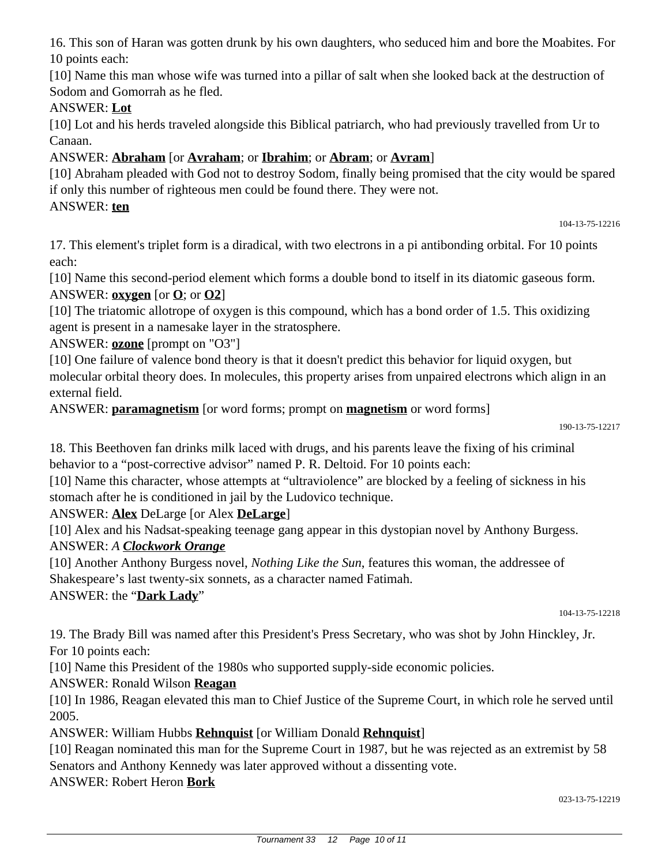16. This son of Haran was gotten drunk by his own daughters, who seduced him and bore the Moabites. For 10 points each:

[10] Name this man whose wife was turned into a pillar of salt when she looked back at the destruction of Sodom and Gomorrah as he fled.

# ANSWER: **Lot**

[10] Lot and his herds traveled alongside this Biblical patriarch, who had previously travelled from Ur to Canaan.

# ANSWER: **Abraham** [or **Avraham**; or **Ibrahim**; or **Abram**; or **Avram**]

[10] Abraham pleaded with God not to destroy Sodom, finally being promised that the city would be spared if only this number of righteous men could be found there. They were not. ANSWER: **ten**

```
104-13-75-12216
```
17. This element's triplet form is a diradical, with two electrons in a pi antibonding orbital. For 10 points each:

[10] Name this second-period element which forms a double bond to itself in its diatomic gaseous form. ANSWER: **oxygen** [or **O**; or **O2**]

[10] The triatomic allotrope of oxygen is this compound, which has a bond order of 1.5. This oxidizing agent is present in a namesake layer in the stratosphere.

ANSWER: **ozone** [prompt on "O3"]

[10] One failure of valence bond theory is that it doesn't predict this behavior for liquid oxygen, but molecular orbital theory does. In molecules, this property arises from unpaired electrons which align in an external field.

ANSWER: **paramagnetism** [or word forms; prompt on **magnetism** or word forms]

190-13-75-12217

18. This Beethoven fan drinks milk laced with drugs, and his parents leave the fixing of his criminal behavior to a "post-corrective advisor" named P. R. Deltoid. For 10 points each:

[10] Name this character, whose attempts at "ultraviolence" are blocked by a feeling of sickness in his stomach after he is conditioned in jail by the Ludovico technique.

ANSWER: **Alex** DeLarge [or Alex **DeLarge**]

[10] Alex and his Nadsat-speaking teenage gang appear in this dystopian novel by Anthony Burgess. ANSWER: *A Clockwork Orange*

[10] Another Anthony Burgess novel, *Nothing Like the Sun*, features this woman, the addressee of Shakespeare's last twenty-six sonnets, as a character named Fatimah.

ANSWER: the "**Dark Lady**"

104-13-75-12218

19. The Brady Bill was named after this President's Press Secretary, who was shot by John Hinckley, Jr. For 10 points each:

[10] Name this President of the 1980s who supported supply-side economic policies.

ANSWER: Ronald Wilson **Reagan**

[10] In 1986, Reagan elevated this man to Chief Justice of the Supreme Court, in which role he served until 2005.

ANSWER: William Hubbs **Rehnquist** [or William Donald **Rehnquist**]

[10] Reagan nominated this man for the Supreme Court in 1987, but he was rejected as an extremist by 58 Senators and Anthony Kennedy was later approved without a dissenting vote.

ANSWER: Robert Heron **Bork**